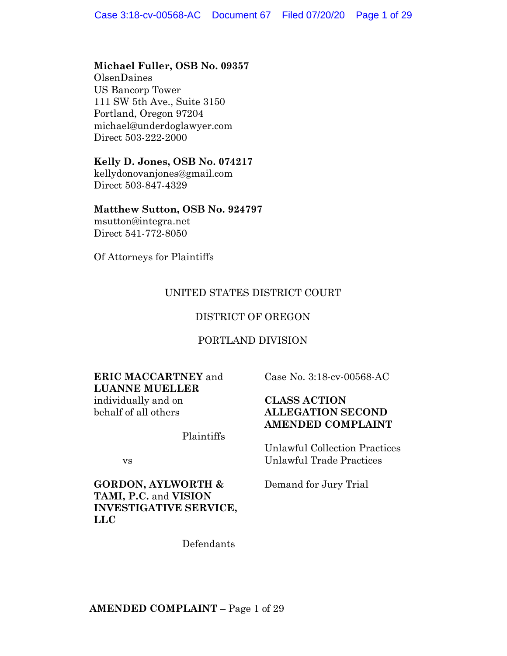## **Michael Fuller, OSB No. 09357**

OlsenDaines US Bancorp Tower 111 SW 5th Ave., Suite 3150 Portland, Oregon 97204 michael@underdoglawyer.com Direct 503-222-2000

## **Kelly D. Jones, OSB No. 074217**

kellydonovanjones@gmail.com Direct 503-847-4329

## **Matthew Sutton, OSB No. 924797**

msutton@integra.net Direct 541-772-8050

Of Attorneys for Plaintiffs

## UNITED STATES DISTRICT COURT

## DISTRICT OF OREGON

## PORTLAND DIVISION

# **ERIC MACCARTNEY** and **LUANNE MUELLER**

individually and on behalf of all others

Plaintiffs

vs

**GORDON, AYLWORTH & TAMI, P.C.** and **VISION INVESTIGATIVE SERVICE, LLC**

Case No. 3:18-cv-00568-AC

## **CLASS ACTION ALLEGATION SECOND AMENDED COMPLAINT**

Unlawful Collection Practices Unlawful Trade Practices

Demand for Jury Trial

Defendants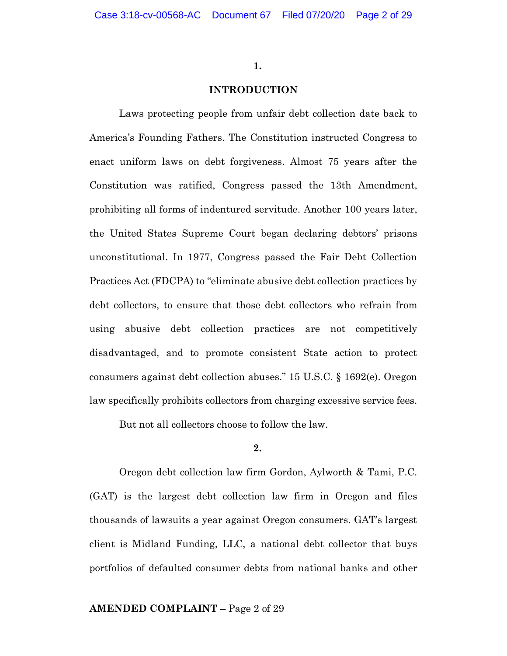## **INTRODUCTION**

Laws protecting people from unfair debt collection date back to America's Founding Fathers. The Constitution instructed Congress to enact uniform laws on debt forgiveness. Almost 75 years after the Constitution was ratified, Congress passed the 13th Amendment, prohibiting all forms of indentured servitude. Another 100 years later, the United States Supreme Court began declaring debtors' prisons unconstitutional. In 1977, Congress passed the Fair Debt Collection Practices Act (FDCPA) to "eliminate abusive debt collection practices by debt collectors, to ensure that those debt collectors who refrain from using abusive debt collection practices are not competitively disadvantaged, and to promote consistent State action to protect consumers against debt collection abuses." 15 U.S.C. § 1692(e). Oregon law specifically prohibits collectors from charging excessive service fees.

But not all collectors choose to follow the law.

**2.**

Oregon debt collection law firm Gordon, Aylworth & Tami, P.C. (GAT) is the largest debt collection law firm in Oregon and files thousands of lawsuits a year against Oregon consumers. GAT's largest client is Midland Funding, LLC, a national debt collector that buys portfolios of defaulted consumer debts from national banks and other

## **AMENDED COMPLAINT** – Page 2 of 29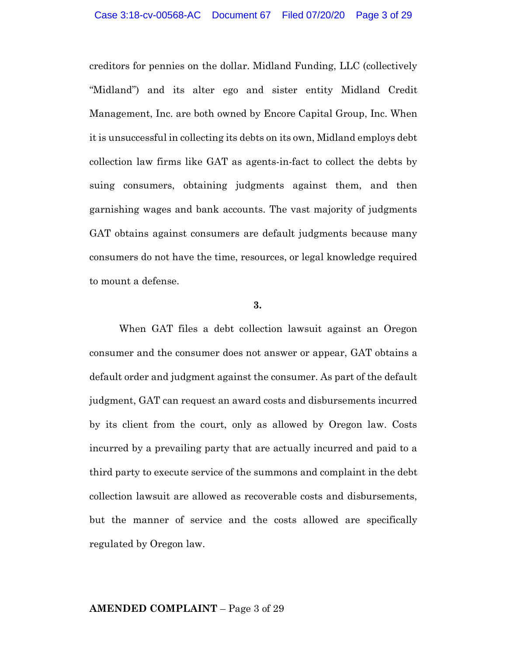creditors for pennies on the dollar. Midland Funding, LLC (collectively "Midland") and its alter ego and sister entity Midland Credit Management, Inc. are both owned by Encore Capital Group, Inc. When it is unsuccessful in collecting its debts on its own, Midland employs debt collection law firms like GAT as agents-in-fact to collect the debts by suing consumers, obtaining judgments against them, and then garnishing wages and bank accounts. The vast majority of judgments GAT obtains against consumers are default judgments because many consumers do not have the time, resources, or legal knowledge required to mount a defense.

#### **3.**

When GAT files a debt collection lawsuit against an Oregon consumer and the consumer does not answer or appear, GAT obtains a default order and judgment against the consumer. As part of the default judgment, GAT can request an award costs and disbursements incurred by its client from the court, only as allowed by Oregon law. Costs incurred by a prevailing party that are actually incurred and paid to a third party to execute service of the summons and complaint in the debt collection lawsuit are allowed as recoverable costs and disbursements, but the manner of service and the costs allowed are specifically regulated by Oregon law.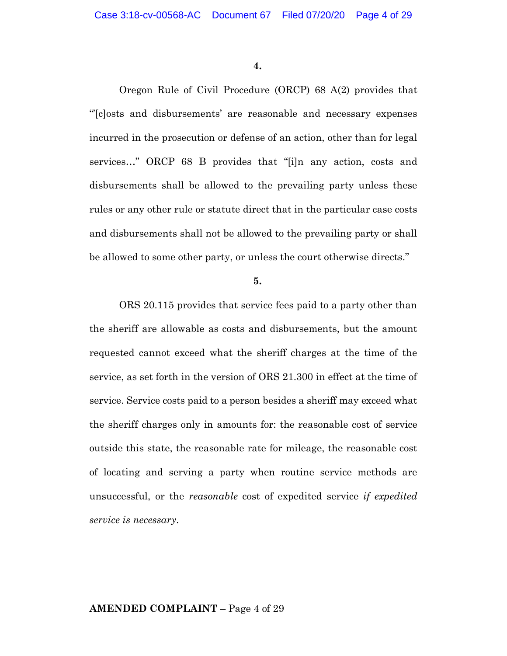Oregon Rule of Civil Procedure (ORCP) 68 A(2) provides that "'[c]osts and disbursements' are reasonable and necessary expenses incurred in the prosecution or defense of an action, other than for legal services…" ORCP 68 B provides that "[i]n any action, costs and disbursements shall be allowed to the prevailing party unless these rules or any other rule or statute direct that in the particular case costs and disbursements shall not be allowed to the prevailing party or shall be allowed to some other party, or unless the court otherwise directs."

**5.**

ORS 20.115 provides that service fees paid to a party other than the sheriff are allowable as costs and disbursements, but the amount requested cannot exceed what the sheriff charges at the time of the service, as set forth in the version of ORS 21.300 in effect at the time of service. Service costs paid to a person besides a sheriff may exceed what the sheriff charges only in amounts for: the reasonable cost of service outside this state, the reasonable rate for mileage, the reasonable cost of locating and serving a party when routine service methods are unsuccessful, or the *reasonable* cost of expedited service *if expedited service is necessary*.

## **AMENDED COMPLAINT** – Page 4 of 29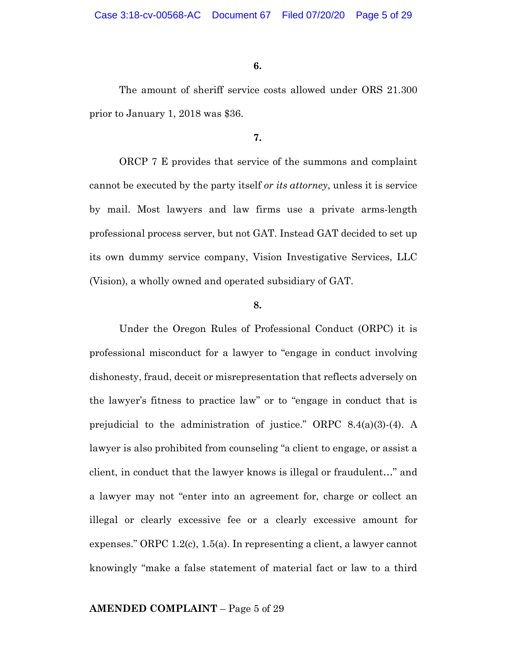The amount of sheriff service costs allowed under ORS 21.300 prior to January 1, 2018 was \$36.

**7.**

ORCP 7 E provides that service of the summons and complaint cannot be executed by the party itself *or its attorney*, unless it is service by mail. Most lawyers and law firms use a private arms-length professional process server, but not GAT. Instead GAT decided to set up its own dummy service company, Vision Investigative Services, LLC (Vision), a wholly owned and operated subsidiary of GAT.

### **8.**

Under the Oregon Rules of Professional Conduct (ORPC) it is professional misconduct for a lawyer to "engage in conduct involving dishonesty, fraud, deceit or misrepresentation that reflects adversely on the lawyer's fitness to practice law" or to "engage in conduct that is prejudicial to the administration of justice." ORPC 8.4(a)(3)-(4). A lawyer is also prohibited from counseling "a client to engage, or assist a client, in conduct that the lawyer knows is illegal or fraudulent…" and a lawyer may not "enter into an agreement for, charge or collect an illegal or clearly excessive fee or a clearly excessive amount for expenses." ORPC 1.2(c), 1.5(a). In representing a client, a lawyer cannot knowingly "make a false statement of material fact or law to a third

## **AMENDED COMPLAINT** – Page 5 of 29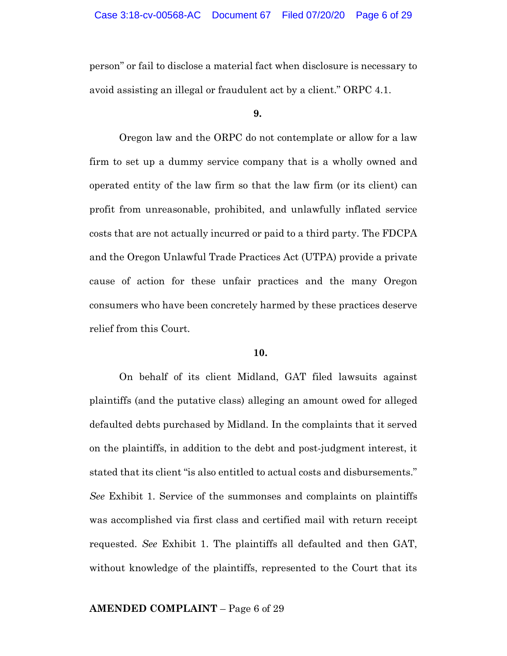person" or fail to disclose a material fact when disclosure is necessary to avoid assisting an illegal or fraudulent act by a client." ORPC 4.1.

#### **9.**

Oregon law and the ORPC do not contemplate or allow for a law firm to set up a dummy service company that is a wholly owned and operated entity of the law firm so that the law firm (or its client) can profit from unreasonable, prohibited, and unlawfully inflated service costs that are not actually incurred or paid to a third party. The FDCPA and the Oregon Unlawful Trade Practices Act (UTPA) provide a private cause of action for these unfair practices and the many Oregon consumers who have been concretely harmed by these practices deserve relief from this Court.

### **10.**

On behalf of its client Midland, GAT filed lawsuits against plaintiffs (and the putative class) alleging an amount owed for alleged defaulted debts purchased by Midland. In the complaints that it served on the plaintiffs, in addition to the debt and post-judgment interest, it stated that its client "is also entitled to actual costs and disbursements." *See* Exhibit 1. Service of the summonses and complaints on plaintiffs was accomplished via first class and certified mail with return receipt requested. *See* Exhibit 1. The plaintiffs all defaulted and then GAT, without knowledge of the plaintiffs, represented to the Court that its

## **AMENDED COMPLAINT** – Page 6 of 29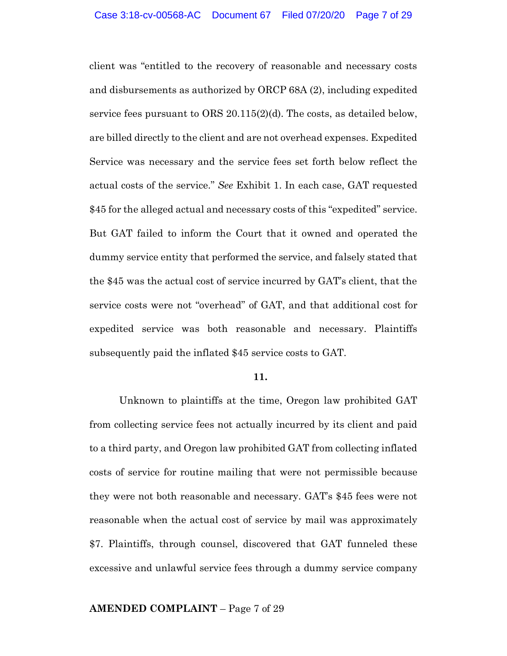client was "entitled to the recovery of reasonable and necessary costs and disbursements as authorized by ORCP 68A (2), including expedited service fees pursuant to ORS 20.115(2)(d). The costs, as detailed below, are billed directly to the client and are not overhead expenses. Expedited Service was necessary and the service fees set forth below reflect the actual costs of the service." *See* Exhibit 1. In each case, GAT requested \$45 for the alleged actual and necessary costs of this "expedited" service. But GAT failed to inform the Court that it owned and operated the dummy service entity that performed the service, and falsely stated that the \$45 was the actual cost of service incurred by GAT's client, that the service costs were not "overhead" of GAT, and that additional cost for expedited service was both reasonable and necessary. Plaintiffs subsequently paid the inflated \$45 service costs to GAT.

## **11.**

Unknown to plaintiffs at the time, Oregon law prohibited GAT from collecting service fees not actually incurred by its client and paid to a third party, and Oregon law prohibited GAT from collecting inflated costs of service for routine mailing that were not permissible because they were not both reasonable and necessary. GAT's \$45 fees were not reasonable when the actual cost of service by mail was approximately \$7. Plaintiffs, through counsel, discovered that GAT funneled these excessive and unlawful service fees through a dummy service company

## **AMENDED COMPLAINT** – Page 7 of 29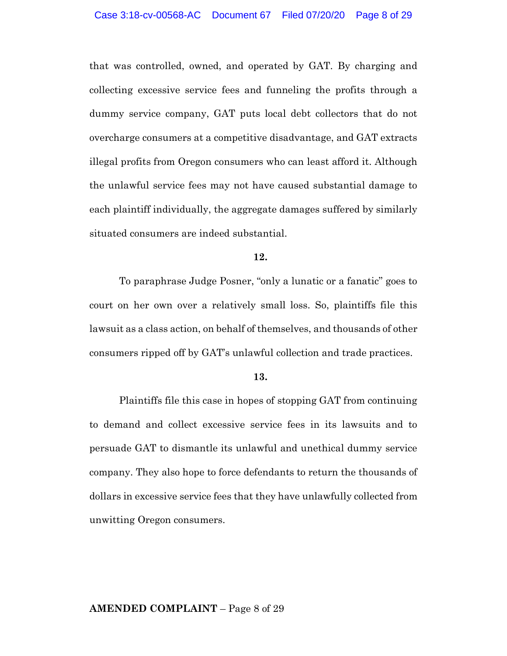that was controlled, owned, and operated by GAT. By charging and collecting excessive service fees and funneling the profits through a dummy service company, GAT puts local debt collectors that do not overcharge consumers at a competitive disadvantage, and GAT extracts illegal profits from Oregon consumers who can least afford it. Although the unlawful service fees may not have caused substantial damage to each plaintiff individually, the aggregate damages suffered by similarly situated consumers are indeed substantial.

### **12.**

To paraphrase Judge Posner, "only a lunatic or a fanatic" goes to court on her own over a relatively small loss. So, plaintiffs file this lawsuit as a class action, on behalf of themselves, and thousands of other consumers ripped off by GAT's unlawful collection and trade practices.

#### **13.**

Plaintiffs file this case in hopes of stopping GAT from continuing to demand and collect excessive service fees in its lawsuits and to persuade GAT to dismantle its unlawful and unethical dummy service company. They also hope to force defendants to return the thousands of dollars in excessive service fees that they have unlawfully collected from unwitting Oregon consumers.

### **AMENDED COMPLAINT** – Page 8 of 29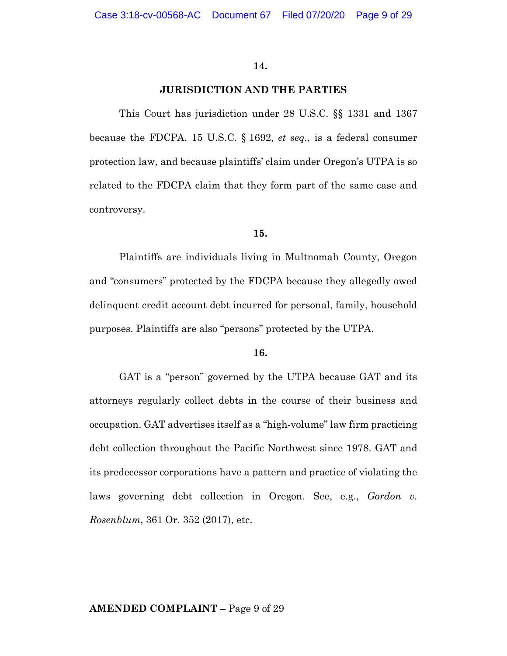#### **JURISDICTION AND THE PARTIES**

This Court has jurisdiction under 28 U.S.C. §§ 1331 and 1367 because the FDCPA, 15 U.S.C. § 1692, *et seq.*, is a federal consumer protection law, and because plaintiffs' claim under Oregon's UTPA is so related to the FDCPA claim that they form part of the same case and controversy.

#### **15.**

Plaintiffs are individuals living in Multnomah County, Oregon and "consumers" protected by the FDCPA because they allegedly owed delinquent credit account debt incurred for personal, family, household purposes. Plaintiffs are also "persons" protected by the UTPA.

#### **16.**

GAT is a "person" governed by the UTPA because GAT and its attorneys regularly collect debts in the course of their business and occupation. GAT advertises itself as a "high-volume" law firm practicing debt collection throughout the Pacific Northwest since 1978. GAT and its predecessor corporations have a pattern and practice of violating the laws governing debt collection in Oregon. See, e.g., *Gordon v. Rosenblum*, 361 Or. 352 (2017), etc.

### **AMENDED COMPLAINT** – Page 9 of 29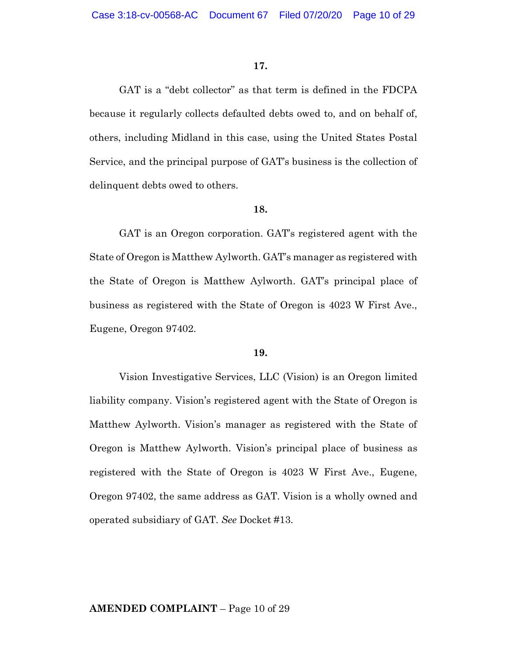GAT is a "debt collector" as that term is defined in the FDCPA because it regularly collects defaulted debts owed to, and on behalf of, others, including Midland in this case, using the United States Postal Service, and the principal purpose of GAT's business is the collection of delinquent debts owed to others.

#### **18.**

GAT is an Oregon corporation. GAT's registered agent with the State of Oregon is Matthew Aylworth. GAT's manager as registered with the State of Oregon is Matthew Aylworth. GAT's principal place of business as registered with the State of Oregon is 4023 W First Ave., Eugene, Oregon 97402.

### **19.**

Vision Investigative Services, LLC (Vision) is an Oregon limited liability company. Vision's registered agent with the State of Oregon is Matthew Aylworth. Vision's manager as registered with the State of Oregon is Matthew Aylworth. Vision's principal place of business as registered with the State of Oregon is 4023 W First Ave., Eugene, Oregon 97402, the same address as GAT. Vision is a wholly owned and operated subsidiary of GAT. *See* Docket #13.

### **AMENDED COMPLAINT** – Page 10 of 29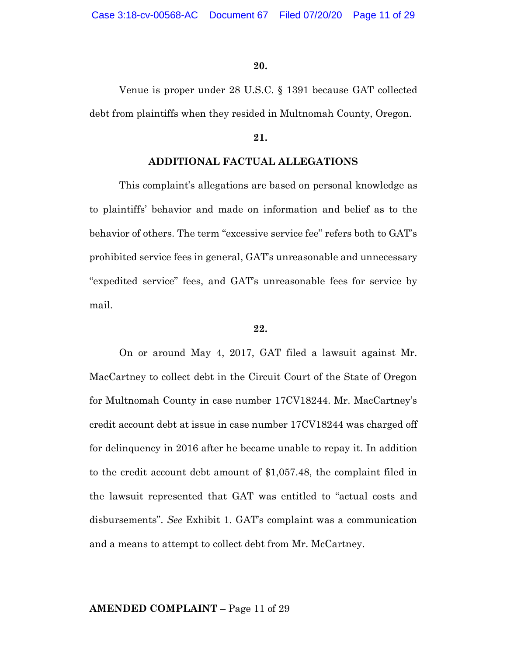Venue is proper under 28 U.S.C. § 1391 because GAT collected debt from plaintiffs when they resided in Multnomah County, Oregon.

## **21.**

## **ADDITIONAL FACTUAL ALLEGATIONS**

This complaint's allegations are based on personal knowledge as to plaintiffs' behavior and made on information and belief as to the behavior of others. The term "excessive service fee" refers both to GAT's prohibited service fees in general, GAT's unreasonable and unnecessary "expedited service" fees, and GAT's unreasonable fees for service by mail.

## **22.**

On or around May 4, 2017, GAT filed a lawsuit against Mr. MacCartney to collect debt in the Circuit Court of the State of Oregon for Multnomah County in case number 17CV18244. Mr. MacCartney's credit account debt at issue in case number 17CV18244 was charged off for delinquency in 2016 after he became unable to repay it. In addition to the credit account debt amount of \$1,057.48, the complaint filed in the lawsuit represented that GAT was entitled to "actual costs and disbursements". *See* Exhibit 1. GAT's complaint was a communication and a means to attempt to collect debt from Mr. McCartney.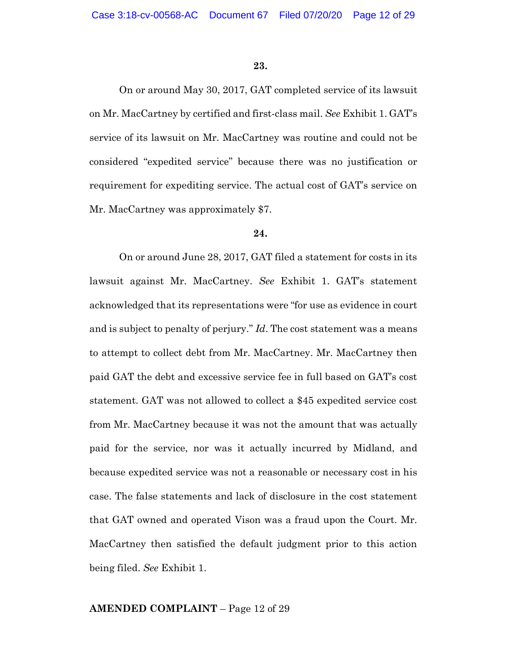On or around May 30, 2017, GAT completed service of its lawsuit on Mr. MacCartney by certified and first-class mail. *See* Exhibit 1. GAT's service of its lawsuit on Mr. MacCartney was routine and could not be considered "expedited service" because there was no justification or requirement for expediting service. The actual cost of GAT's service on Mr. MacCartney was approximately \$7.

## **24.**

On or around June 28, 2017, GAT filed a statement for costs in its lawsuit against Mr. MacCartney. *See* Exhibit 1. GAT's statement acknowledged that its representations were "for use as evidence in court and is subject to penalty of perjury." *Id*. The cost statement was a means to attempt to collect debt from Mr. MacCartney. Mr. MacCartney then paid GAT the debt and excessive service fee in full based on GAT's cost statement. GAT was not allowed to collect a \$45 expedited service cost from Mr. MacCartney because it was not the amount that was actually paid for the service, nor was it actually incurred by Midland, and because expedited service was not a reasonable or necessary cost in his case. The false statements and lack of disclosure in the cost statement that GAT owned and operated Vison was a fraud upon the Court. Mr. MacCartney then satisfied the default judgment prior to this action being filed. *See* Exhibit 1.

## **AMENDED COMPLAINT** – Page 12 of 29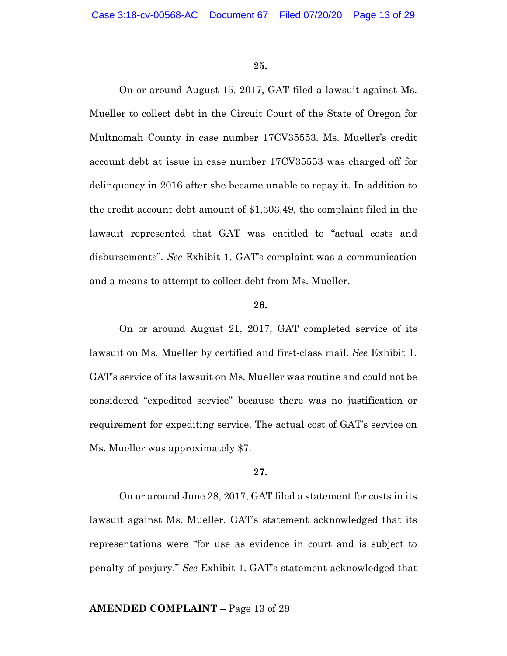On or around August 15, 2017, GAT filed a lawsuit against Ms. Mueller to collect debt in the Circuit Court of the State of Oregon for Multnomah County in case number 17CV35553. Ms. Mueller's credit account debt at issue in case number 17CV35553 was charged off for delinquency in 2016 after she became unable to repay it. In addition to the credit account debt amount of \$1,303.49, the complaint filed in the lawsuit represented that GAT was entitled to "actual costs and disbursements". *See* Exhibit 1. GAT's complaint was a communication and a means to attempt to collect debt from Ms. Mueller.

#### **26.**

On or around August 21, 2017, GAT completed service of its lawsuit on Ms. Mueller by certified and first-class mail. *See* Exhibit 1. GAT's service of its lawsuit on Ms. Mueller was routine and could not be considered "expedited service" because there was no justification or requirement for expediting service. The actual cost of GAT's service on Ms. Mueller was approximately \$7.

## **27.**

On or around June 28, 2017, GAT filed a statement for costs in its lawsuit against Ms. Mueller. GAT's statement acknowledged that its representations were "for use as evidence in court and is subject to penalty of perjury." *See* Exhibit 1. GAT's statement acknowledged that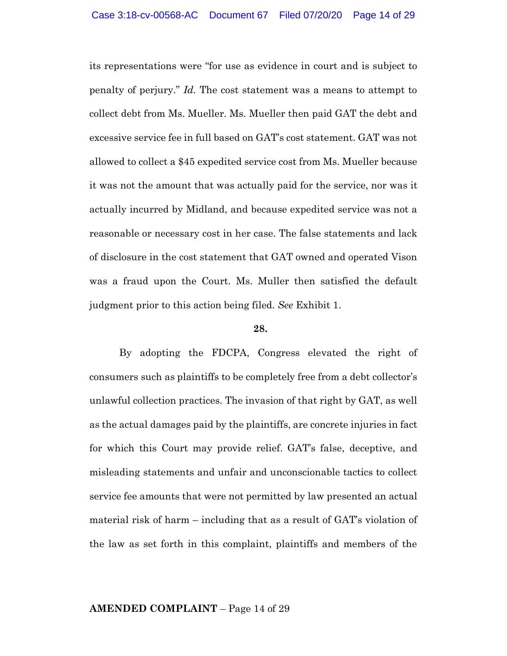its representations were "for use as evidence in court and is subject to penalty of perjury." *Id.* The cost statement was a means to attempt to collect debt from Ms. Mueller. Ms. Mueller then paid GAT the debt and excessive service fee in full based on GAT's cost statement. GAT was not allowed to collect a \$45 expedited service cost from Ms. Mueller because it was not the amount that was actually paid for the service, nor was it actually incurred by Midland, and because expedited service was not a reasonable or necessary cost in her case. The false statements and lack of disclosure in the cost statement that GAT owned and operated Vison was a fraud upon the Court. Ms. Muller then satisfied the default judgment prior to this action being filed. *See* Exhibit 1.

## **28.**

By adopting the FDCPA, Congress elevated the right of consumers such as plaintiffs to be completely free from a debt collector's unlawful collection practices. The invasion of that right by GAT, as well as the actual damages paid by the plaintiffs, are concrete injuries in fact for which this Court may provide relief. GAT's false, deceptive, and misleading statements and unfair and unconscionable tactics to collect service fee amounts that were not permitted by law presented an actual material risk of harm – including that as a result of GAT's violation of the law as set forth in this complaint, plaintiffs and members of the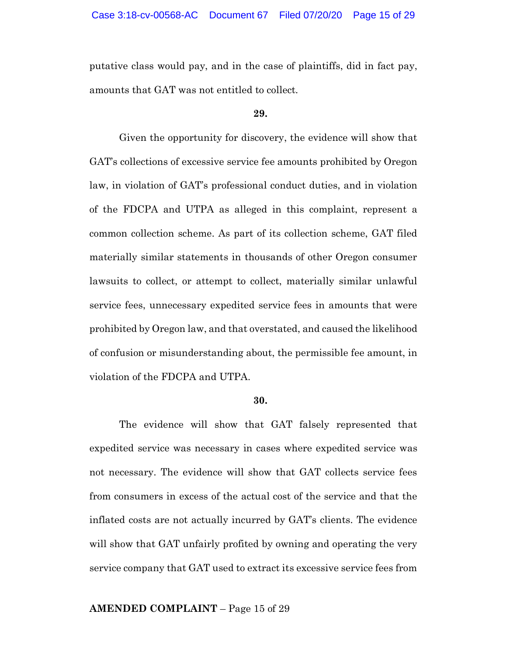putative class would pay, and in the case of plaintiffs, did in fact pay, amounts that GAT was not entitled to collect.

#### **29.**

Given the opportunity for discovery, the evidence will show that GAT's collections of excessive service fee amounts prohibited by Oregon law, in violation of GAT's professional conduct duties, and in violation of the FDCPA and UTPA as alleged in this complaint, represent a common collection scheme. As part of its collection scheme, GAT filed materially similar statements in thousands of other Oregon consumer lawsuits to collect, or attempt to collect, materially similar unlawful service fees, unnecessary expedited service fees in amounts that were prohibited by Oregon law, and that overstated, and caused the likelihood of confusion or misunderstanding about, the permissible fee amount, in violation of the FDCPA and UTPA.

#### **30.**

The evidence will show that GAT falsely represented that expedited service was necessary in cases where expedited service was not necessary. The evidence will show that GAT collects service fees from consumers in excess of the actual cost of the service and that the inflated costs are not actually incurred by GAT's clients. The evidence will show that GAT unfairly profited by owning and operating the very service company that GAT used to extract its excessive service fees from

## **AMENDED COMPLAINT** – Page 15 of 29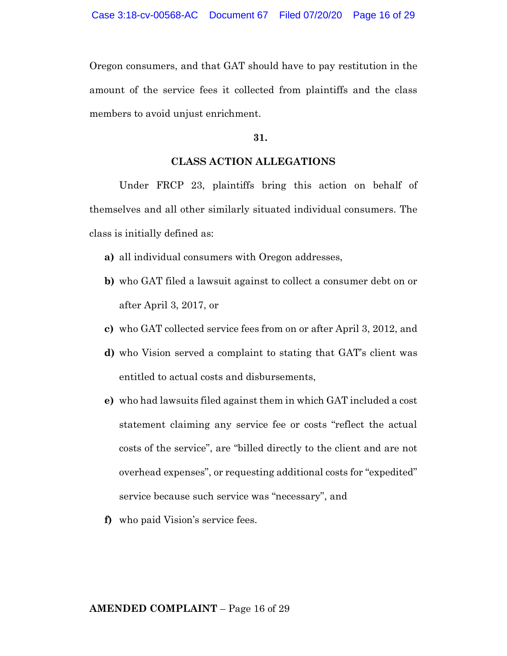Oregon consumers, and that GAT should have to pay restitution in the amount of the service fees it collected from plaintiffs and the class members to avoid unjust enrichment.

## **31.**

## **CLASS ACTION ALLEGATIONS**

Under FRCP 23, plaintiffs bring this action on behalf of themselves and all other similarly situated individual consumers. The class is initially defined as:

- **a)** all individual consumers with Oregon addresses,
- **b)** who GAT filed a lawsuit against to collect a consumer debt on or after April 3, 2017, or
- **c)** who GAT collected service fees from on or after April 3, 2012, and
- **d)** who Vision served a complaint to stating that GAT's client was entitled to actual costs and disbursements,
- **e)** who had lawsuits filed against them in which GAT included a cost statement claiming any service fee or costs "reflect the actual costs of the service", are "billed directly to the client and are not overhead expenses", or requesting additional costs for "expedited" service because such service was "necessary", and
- **f)** who paid Vision's service fees.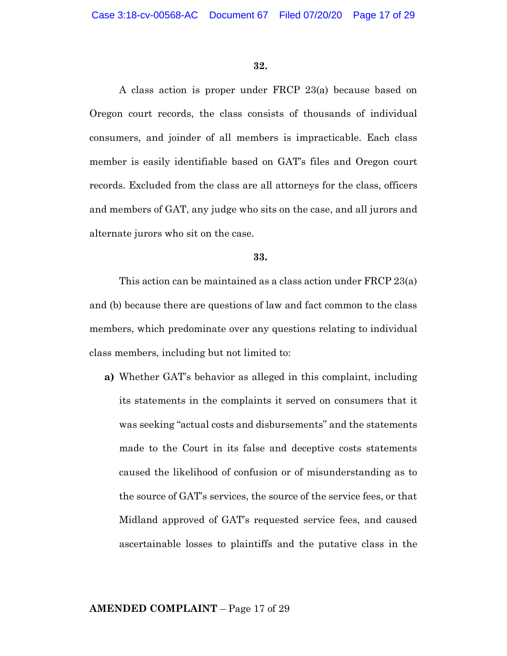A class action is proper under FRCP 23(a) because based on Oregon court records, the class consists of thousands of individual consumers, and joinder of all members is impracticable. Each class member is easily identifiable based on GAT's files and Oregon court records. Excluded from the class are all attorneys for the class, officers and members of GAT, any judge who sits on the case, and all jurors and alternate jurors who sit on the case.

### **33.**

This action can be maintained as a class action under FRCP 23(a) and (b) because there are questions of law and fact common to the class members, which predominate over any questions relating to individual class members, including but not limited to:

**a)** Whether GAT's behavior as alleged in this complaint, including its statements in the complaints it served on consumers that it was seeking "actual costs and disbursements" and the statements made to the Court in its false and deceptive costs statements caused the likelihood of confusion or of misunderstanding as to the source of GAT's services, the source of the service fees, or that Midland approved of GAT's requested service fees, and caused ascertainable losses to plaintiffs and the putative class in the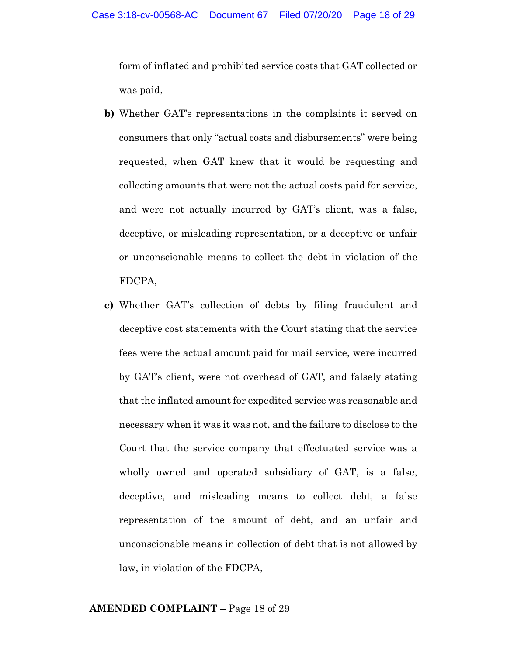form of inflated and prohibited service costs that GAT collected or was paid,

- **b)** Whether GAT's representations in the complaints it served on consumers that only "actual costs and disbursements" were being requested, when GAT knew that it would be requesting and collecting amounts that were not the actual costs paid for service, and were not actually incurred by GAT's client, was a false, deceptive, or misleading representation, or a deceptive or unfair or unconscionable means to collect the debt in violation of the FDCPA,
- **c)** Whether GAT's collection of debts by filing fraudulent and deceptive cost statements with the Court stating that the service fees were the actual amount paid for mail service, were incurred by GAT's client, were not overhead of GAT, and falsely stating that the inflated amount for expedited service was reasonable and necessary when it was it was not, and the failure to disclose to the Court that the service company that effectuated service was a wholly owned and operated subsidiary of GAT, is a false, deceptive, and misleading means to collect debt, a false representation of the amount of debt, and an unfair and unconscionable means in collection of debt that is not allowed by law, in violation of the FDCPA,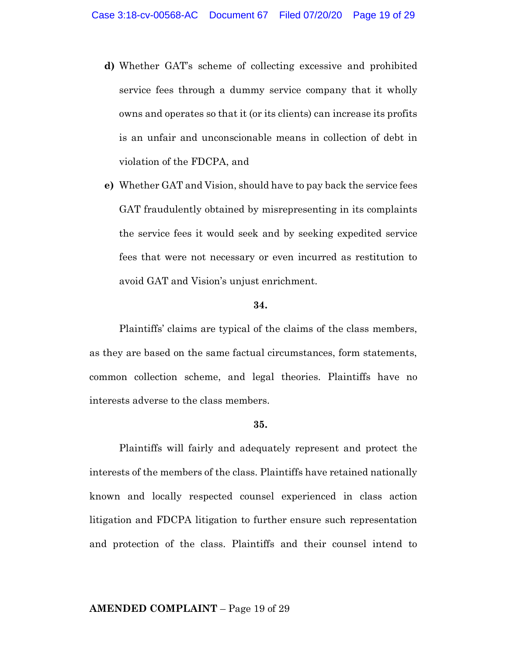- **d)** Whether GAT's scheme of collecting excessive and prohibited service fees through a dummy service company that it wholly owns and operates so that it (or its clients) can increase its profits is an unfair and unconscionable means in collection of debt in violation of the FDCPA, and
- **e)** Whether GAT and Vision, should have to pay back the service fees GAT fraudulently obtained by misrepresenting in its complaints the service fees it would seek and by seeking expedited service fees that were not necessary or even incurred as restitution to avoid GAT and Vision's unjust enrichment.

Plaintiffs' claims are typical of the claims of the class members, as they are based on the same factual circumstances, form statements, common collection scheme, and legal theories. Plaintiffs have no interests adverse to the class members.

#### **35.**

Plaintiffs will fairly and adequately represent and protect the interests of the members of the class. Plaintiffs have retained nationally known and locally respected counsel experienced in class action litigation and FDCPA litigation to further ensure such representation and protection of the class. Plaintiffs and their counsel intend to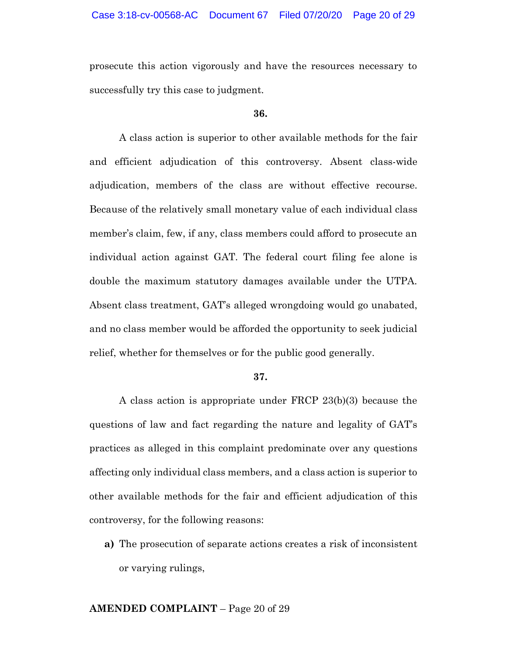prosecute this action vigorously and have the resources necessary to successfully try this case to judgment.

#### **36.**

A class action is superior to other available methods for the fair and efficient adjudication of this controversy. Absent class-wide adjudication, members of the class are without effective recourse. Because of the relatively small monetary value of each individual class member's claim, few, if any, class members could afford to prosecute an individual action against GAT. The federal court filing fee alone is double the maximum statutory damages available under the UTPA. Absent class treatment, GAT's alleged wrongdoing would go unabated, and no class member would be afforded the opportunity to seek judicial relief, whether for themselves or for the public good generally.

#### **37.**

A class action is appropriate under FRCP 23(b)(3) because the questions of law and fact regarding the nature and legality of GAT's practices as alleged in this complaint predominate over any questions affecting only individual class members, and a class action is superior to other available methods for the fair and efficient adjudication of this controversy, for the following reasons:

**a)** The prosecution of separate actions creates a risk of inconsistent or varying rulings,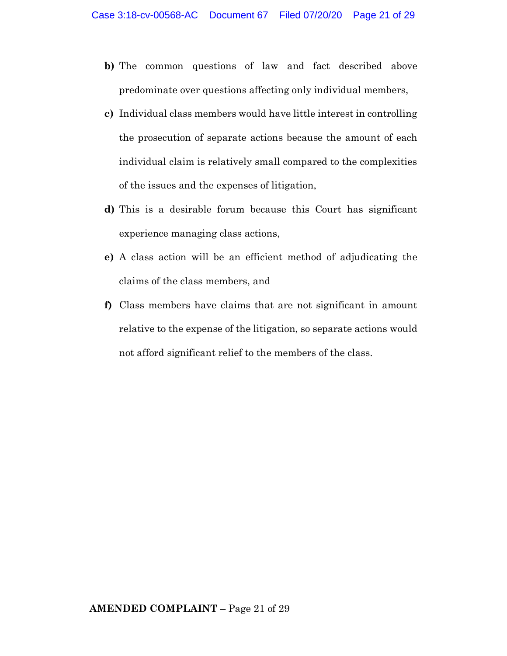- **b)** The common questions of law and fact described above predominate over questions affecting only individual members,
- **c)** Individual class members would have little interest in controlling the prosecution of separate actions because the amount of each individual claim is relatively small compared to the complexities of the issues and the expenses of litigation,
- **d)** This is a desirable forum because this Court has significant experience managing class actions,
- **e)** A class action will be an efficient method of adjudicating the claims of the class members, and
- **f)** Class members have claims that are not significant in amount relative to the expense of the litigation, so separate actions would not afford significant relief to the members of the class.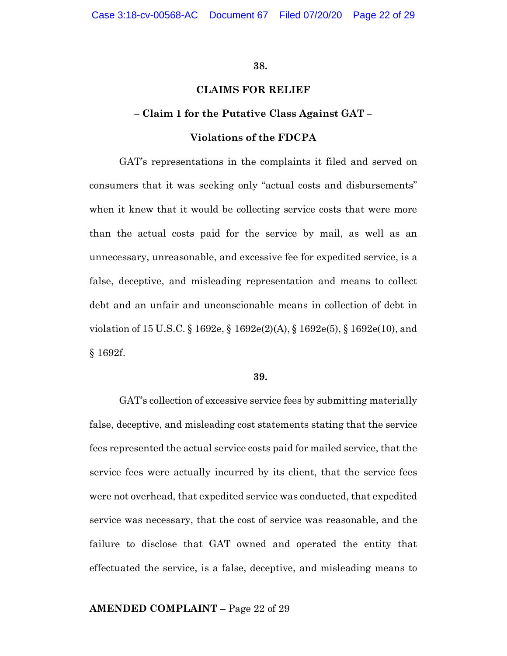## **CLAIMS FOR RELIEF**

## **– Claim 1 for the Putative Class Against GAT –**

## **Violations of the FDCPA**

GAT's representations in the complaints it filed and served on consumers that it was seeking only "actual costs and disbursements" when it knew that it would be collecting service costs that were more than the actual costs paid for the service by mail, as well as an unnecessary, unreasonable, and excessive fee for expedited service, is a false, deceptive, and misleading representation and means to collect debt and an unfair and unconscionable means in collection of debt in violation of 15 U.S.C. § 1692e, § 1692e(2)(A), § 1692e(5), § 1692e(10), and § 1692f.

#### **39.**

GAT's collection of excessive service fees by submitting materially false, deceptive, and misleading cost statements stating that the service fees represented the actual service costs paid for mailed service, that the service fees were actually incurred by its client, that the service fees were not overhead, that expedited service was conducted, that expedited service was necessary, that the cost of service was reasonable, and the failure to disclose that GAT owned and operated the entity that effectuated the service, is a false, deceptive, and misleading means to

## **AMENDED COMPLAINT** – Page 22 of 29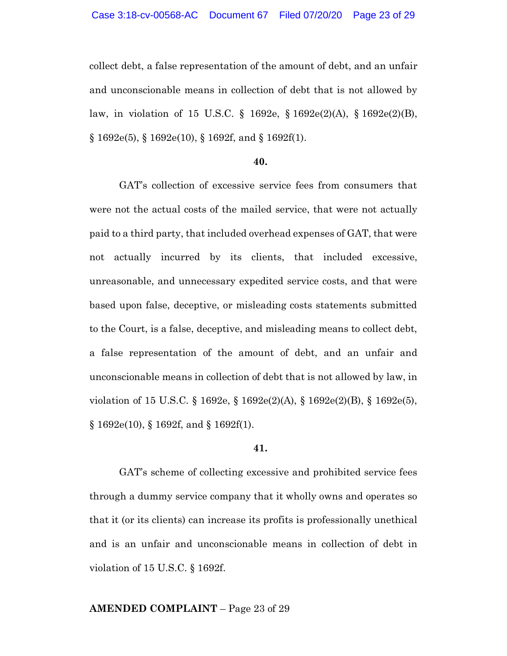collect debt, a false representation of the amount of debt, and an unfair and unconscionable means in collection of debt that is not allowed by law, in violation of 15 U.S.C. § 1692e, § 1692e(2)(A), § 1692e(2)(B),  $\S 1692e(5)$ ,  $\S 1692e(10)$ ,  $\S 1692f$ , and  $\S 1692f(1)$ .

#### **40.**

GAT's collection of excessive service fees from consumers that were not the actual costs of the mailed service, that were not actually paid to a third party, that included overhead expenses of GAT, that were not actually incurred by its clients, that included excessive, unreasonable, and unnecessary expedited service costs, and that were based upon false, deceptive, or misleading costs statements submitted to the Court, is a false, deceptive, and misleading means to collect debt, a false representation of the amount of debt, and an unfair and unconscionable means in collection of debt that is not allowed by law, in violation of 15 U.S.C. § 1692e, § 1692e(2)(A), § 1692e(2)(B), § 1692e(5),  $§ 1692e(10), § 1692f, and § 1692f(1).$ 

#### **41.**

GAT's scheme of collecting excessive and prohibited service fees through a dummy service company that it wholly owns and operates so that it (or its clients) can increase its profits is professionally unethical and is an unfair and unconscionable means in collection of debt in violation of 15 U.S.C. § 1692f.

### **AMENDED COMPLAINT** – Page 23 of 29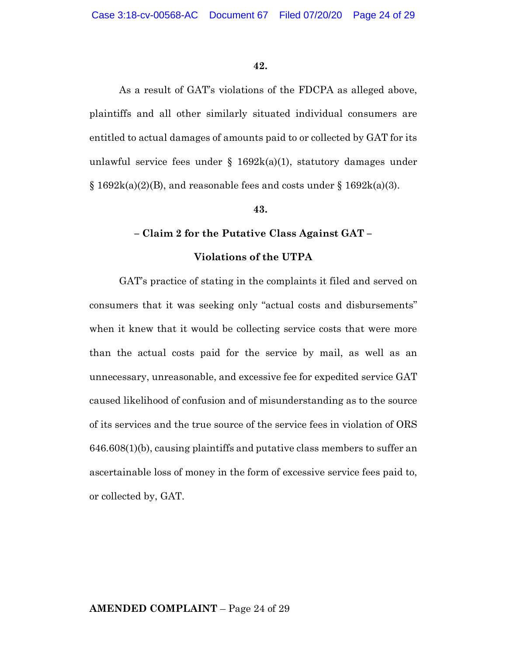As a result of GAT's violations of the FDCPA as alleged above, plaintiffs and all other similarly situated individual consumers are entitled to actual damages of amounts paid to or collected by GAT for its unlawful service fees under  $\S$  1692k(a)(1), statutory damages under  $\S 1692k(a)(2)(B)$ , and reasonable fees and costs under  $\S 1692k(a)(3)$ .

## **43.**

### **– Claim 2 for the Putative Class Against GAT –**

## **Violations of the UTPA**

GAT's practice of stating in the complaints it filed and served on consumers that it was seeking only "actual costs and disbursements" when it knew that it would be collecting service costs that were more than the actual costs paid for the service by mail, as well as an unnecessary, unreasonable, and excessive fee for expedited service GAT caused likelihood of confusion and of misunderstanding as to the source of its services and the true source of the service fees in violation of ORS 646.608(1)(b), causing plaintiffs and putative class members to suffer an ascertainable loss of money in the form of excessive service fees paid to, or collected by, GAT.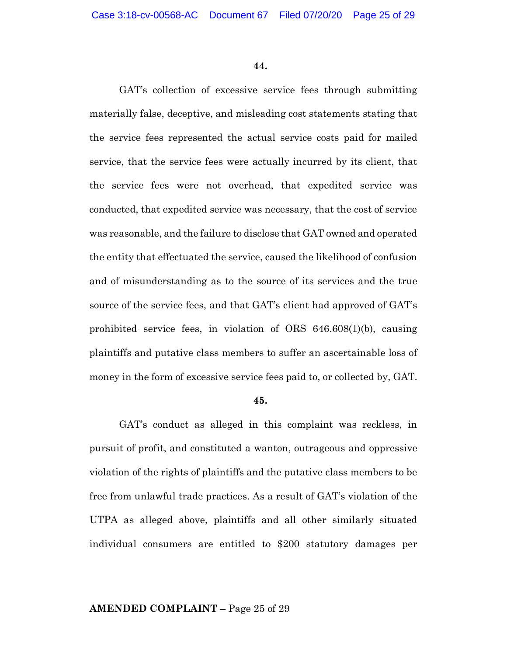GAT's collection of excessive service fees through submitting materially false, deceptive, and misleading cost statements stating that the service fees represented the actual service costs paid for mailed service, that the service fees were actually incurred by its client, that the service fees were not overhead, that expedited service was conducted, that expedited service was necessary, that the cost of service was reasonable, and the failure to disclose that GAT owned and operated the entity that effectuated the service, caused the likelihood of confusion and of misunderstanding as to the source of its services and the true source of the service fees, and that GAT's client had approved of GAT's prohibited service fees, in violation of ORS 646.608(1)(b), causing plaintiffs and putative class members to suffer an ascertainable loss of money in the form of excessive service fees paid to, or collected by, GAT.

#### **45.**

GAT's conduct as alleged in this complaint was reckless, in pursuit of profit, and constituted a wanton, outrageous and oppressive violation of the rights of plaintiffs and the putative class members to be free from unlawful trade practices. As a result of GAT's violation of the UTPA as alleged above, plaintiffs and all other similarly situated individual consumers are entitled to \$200 statutory damages per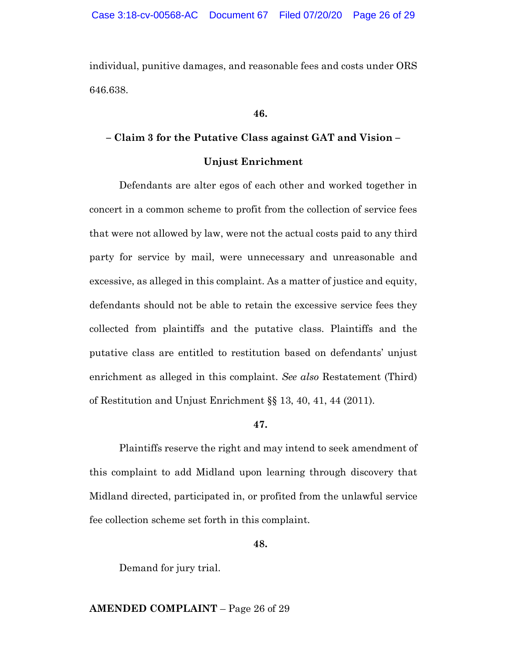individual, punitive damages, and reasonable fees and costs under ORS 646.638.

**46.**

## **– Claim 3 for the Putative Class against GAT and Vision –**

## **Unjust Enrichment**

Defendants are alter egos of each other and worked together in concert in a common scheme to profit from the collection of service fees that were not allowed by law, were not the actual costs paid to any third party for service by mail, were unnecessary and unreasonable and excessive, as alleged in this complaint. As a matter of justice and equity, defendants should not be able to retain the excessive service fees they collected from plaintiffs and the putative class. Plaintiffs and the putative class are entitled to restitution based on defendants' unjust enrichment as alleged in this complaint. *See also* Restatement (Third) of Restitution and Unjust Enrichment §§ 13, 40, 41, 44 (2011).

#### **47.**

Plaintiffs reserve the right and may intend to seek amendment of this complaint to add Midland upon learning through discovery that Midland directed, participated in, or profited from the unlawful service fee collection scheme set forth in this complaint.

**48.**

Demand for jury trial.

### **AMENDED COMPLAINT** – Page 26 of 29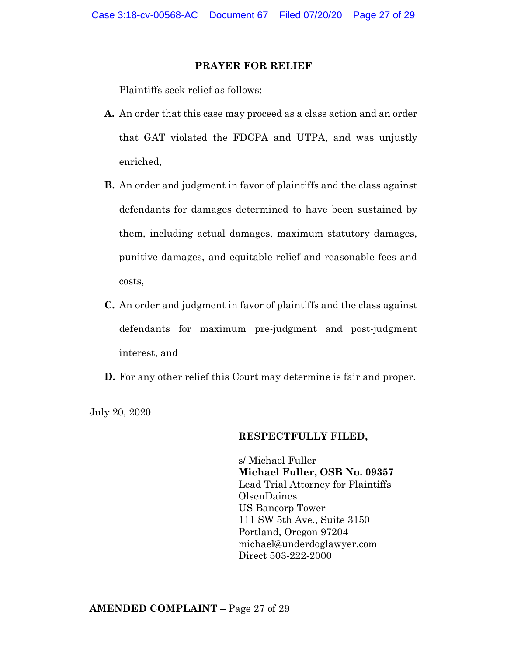## **PRAYER FOR RELIEF**

Plaintiffs seek relief as follows:

- **A.** An order that this case may proceed as a class action and an order that GAT violated the FDCPA and UTPA, and was unjustly enriched,
- **B.** An order and judgment in favor of plaintiffs and the class against defendants for damages determined to have been sustained by them, including actual damages, maximum statutory damages, punitive damages, and equitable relief and reasonable fees and costs,
- **C.** An order and judgment in favor of plaintiffs and the class against defendants for maximum pre-judgment and post-judgment interest, and
- **D.** For any other relief this Court may determine is fair and proper.

July 20, 2020

### **RESPECTFULLY FILED,**

s/ Michael Fuller **Michael Fuller, OSB No. 09357** Lead Trial Attorney for Plaintiffs OlsenDaines US Bancorp Tower 111 SW 5th Ave., Suite 3150 Portland, Oregon 97204 michael@underdoglawyer.com Direct 503-222-2000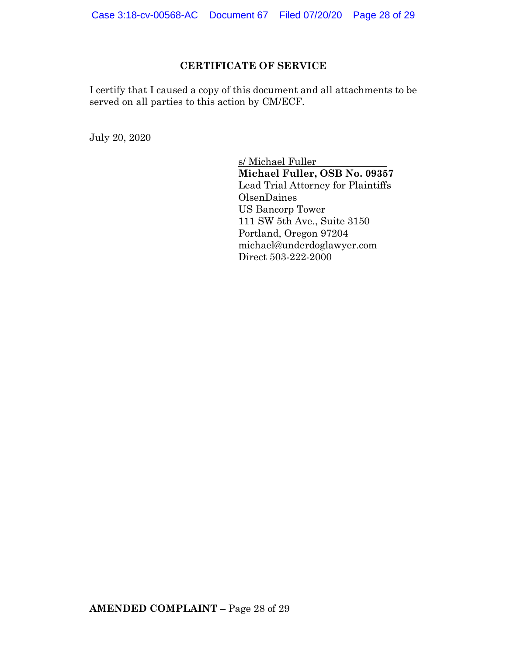## **CERTIFICATE OF SERVICE**

I certify that I caused a copy of this document and all attachments to be served on all parties to this action by CM/ECF.

July 20, 2020

s/ Michael Fuller **Michael Fuller, OSB No. 09357** Lead Trial Attorney for Plaintiffs OlsenDaines US Bancorp Tower 111 SW 5th Ave., Suite 3150 Portland, Oregon 97204 michael@underdoglawyer.com Direct 503-222-2000